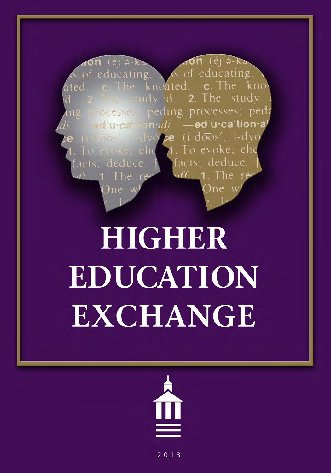educating educating.  $\alpha$ knoated  $c$  The - The kno study  $-10dv$  d 2 The peding processes; ped **TOCCSSC»**  $\mathbf{u}$ di ed u·ca′tion  $(i - d\overline{\alpha}s', i - d\nu)$ evoke: deduce

# **HIGHER** EDUCATION **EXCHANGE**



 $2013$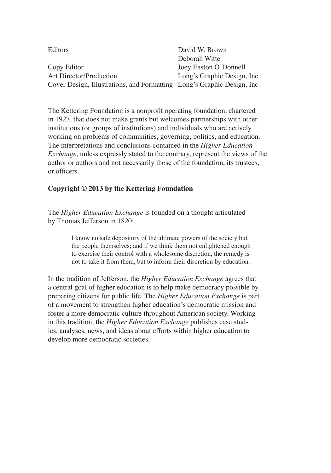| Editors                                                                 | David W. Brown              |
|-------------------------------------------------------------------------|-----------------------------|
|                                                                         | Deborah Witte               |
| Copy Editor                                                             | Joey Easton O'Donnell       |
| Art Director/Production                                                 | Long's Graphic Design, Inc. |
| Cover Design, Illustrations, and Formatting Long's Graphic Design, Inc. |                             |

The Kettering Foundation is a nonprofit operating foundation, chartered in 1927, that does not make grants but welcomes partnerships with other institutions (or groups of institutions) and individuals who are actively working on problems of communities, governing, politics, and education. The interpretations and conclusions contained in the *Higher Education Exchange*, unless expressly stated to the contrary, represent the views of the author or authors and not necessarily those of the foundation, its trustees, or officers.

#### **Copyright © 2013 by the Kettering Foundation**

The *Higher Education Exchange* is founded on a thought articulated by Thomas Jefferson in 1820:

> I know no safe depository of the ultimate powers of the society but the people themselves; and if we think them not enlightened enough to exercise their control with a wholesome discretion, the remedy is not to take it from them, but to inform their discretion by education.

In the tradition of Jefferson, the *Higher Education Exchange* agrees that a central goal of higher education is to help make democracy possible by preparing citizens for public life. The *Higher Education Exchange* is part of a movement to strengthen higher education's democratic mission and foster a more democratic culture throughout American society. Working in this tradition, the *Higher Education Exchange* publishes case studies, analyses, news, and ideas about efforts within higher education to develop more democratic societies.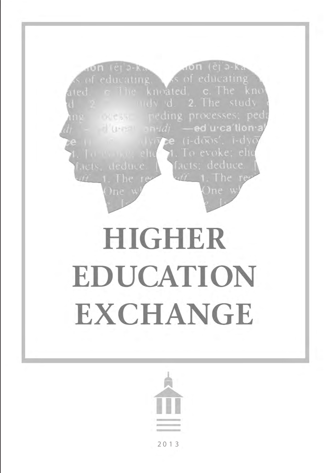

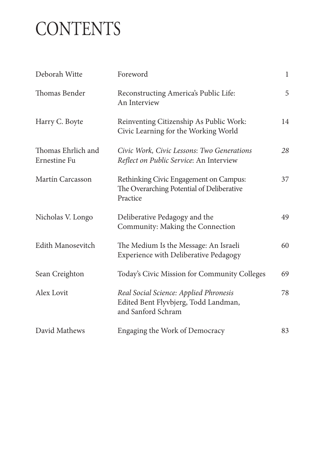## **CONTENTS**

| Deborah Witte                      | Foreword                                                                                             | $\mathbf{1}$ |
|------------------------------------|------------------------------------------------------------------------------------------------------|--------------|
| Thomas Bender                      | Reconstructing America's Public Life:<br>An Interview                                                | 5            |
| Harry C. Boyte                     | Reinventing Citizenship As Public Work:<br>Civic Learning for the Working World                      | 14           |
| Thomas Ehrlich and<br>Ernestine Fu | Civic Work, Civic Lessons: Two Generations<br>Reflect on Public Service: An Interview                | 28           |
| Martín Carcasson                   | Rethinking Civic Engagement on Campus:<br>The Overarching Potential of Deliberative<br>Practice      | 37           |
| Nicholas V. Longo                  | Deliberative Pedagogy and the<br>Community: Making the Connection                                    | 49           |
| Edith Manosevitch                  | The Medium Is the Message: An Israeli<br><b>Experience with Deliberative Pedagogy</b>                | 60           |
| Sean Creighton                     | Today's Civic Mission for Community Colleges                                                         | 69           |
| Alex Lovit                         | Real Social Science: Applied Phronesis<br>Edited Bent Flyvbjerg, Todd Landman,<br>and Sanford Schram | 78           |
| David Mathews                      | Engaging the Work of Democracy                                                                       | 83           |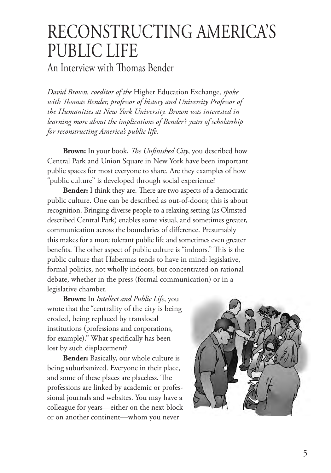### RECONSTRUCTING AMERICA'S PUBLIC LIFE

An Interview with Thomas Bender

*David Brown, coeditor of the* Higher Education Exchange*, spoke with Thomas Bender, professor of history and University Professor of the Humanities at New York University. Brown was interested in learning more about the implications of Bender's years of scholarship for reconstructing America's public life.*

**Brown:** In your book, *The Unfinished City*, you described how Central Park and Union Square in New York have been important public spaces for most everyone to share. Are they examples of how "public culture" is developed through social experience?

**Bender:** I think they are. There are two aspects of a democratic public culture. One can be described as out-of-doors; this is about recognition. Bringing diverse people to a relaxing setting (as Olmsted described Central Park) enables some visual, and sometimes greater, communication across the boundaries of difference. Presumably this makes for a more tolerant public life and sometimes even greater benefits. The other aspect of public culture is "indoors." This is the public culture that Habermas tends to have in mind: legislative, formal politics, not wholly indoors, but concentrated on rational debate, whether in the press (formal communication) or in a legislative chamber.

**Brown:** In *Intellect and Public Life*, you wrote that the "centrality of the city is being eroded, being replaced by translocal institutions (professions and corporations, for example)." What specifically has been lost by such displacement?

**Bender:** Basically, our whole culture is being suburbanized. Everyone in their place, and some of these places are placeless. The professions are linked by academic or professional journals and websites. You may have a colleague for years—either on the next block or on another continent—whom you never

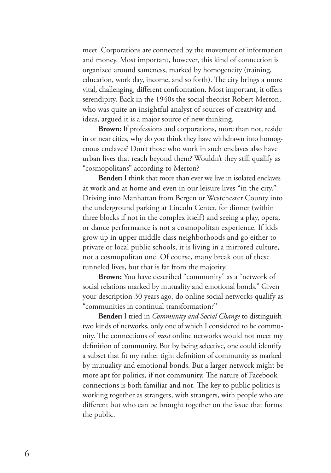meet. Corporations are connected by the movement of information and money. Most important, however, this kind of connection is organized around sameness, marked by homogeneity (training, education, work day, income, and so forth). The city brings a more vital, challenging, different confrontation. Most important, it offers serendipity. Back in the 1940s the social theorist Robert Merton, who was quite an insightful analyst of sources of creativity and ideas, argued it is a major source of new thinking.

**Brown:** If professions and corporations, more than not, reside in or near cities, why do you think they have withdrawn into homogenous enclaves? Don't those who work in such enclaves also have urban lives that reach beyond them? Wouldn't they still qualify as "cosmopolitans" according to Merton?

**Bender:** I think that more than ever we live in isolated enclaves at work and at home and even in our leisure lives "in the city." Driving into Manhattan from Bergen or Westchester County into the underground parking at Lincoln Center, for dinner (within three blocks if not in the complex itself) and seeing a play, opera, or dance performance is not a cosmopolitan experience. If kids grow up in upper middle class neighborhoods and go either to private or local public schools, it is living in a mirrored culture, not a cosmopolitan one. Of course, many break out of these tunneled lives, but that is far from the majority.

**Brown:** You have described "community" as a "network of social relations marked by mutuality and emotional bonds." Given your description 30 years ago, do online social networks qualify as "communities in continual transformation?"

**Bender:** I tried in *Community and Social Change* to distinguish two kinds of networks, only one of which I considered to be community. The connections of *most* online networks would not meet my definition of community. But by being selective, one could identify a subset that fit my rather tight definition of community as marked by mutuality and emotional bonds. But a larger network might be more apt for politics, if not community. The nature of Facebook connections is both familiar and not. The key to public politics is working together as strangers, with strangers, with people who are different but who can be brought together on the issue that forms the public.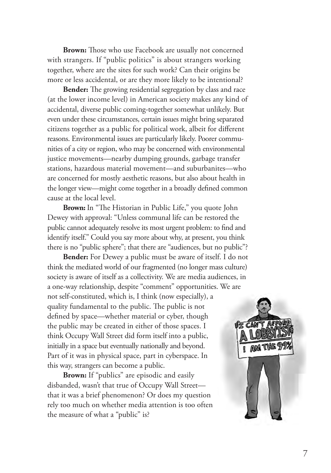**Brown:** Those who use Facebook are usually not concerned with strangers. If "public politics" is about strangers working together, where are the sites for such work? Can their origins be more or less accidental, or are they more likely to be intentional?

**Bender:** The growing residential segregation by class and race (at the lower income level) in American society makes any kind of accidental, diverse public coming-together somewhat unlikely. But even under these circumstances, certain issues might bring separated citizens together as a public for political work, albeit for different reasons. Environmental issues are particularly likely. Poorer communities of a city or region, who may be concerned with environmental justice movements—nearby dumping grounds, garbage transfer stations, hazardous material movement—and suburbanites—who are concerned for mostly aesthetic reasons, but also about health in the longer view—might come together in a broadly defined common cause at the local level.

**Brown:** In "The Historian in Public Life," you quote John Dewey with approval: "Unless communal life can be restored the public cannot adequately resolve its most urgent problem: to find and identify itself." Could you say more about why, at present, you think there is no "public sphere"; that there are "audiences, but no public"?

**Bender:** For Dewey a public must be aware of itself. I do not think the mediated world of our fragmented (no longer mass culture) society is aware of itself as a collectivity. We are media audiences, in a one-way relationship, despite "comment" opportunities. We are not self-constituted, which is, I think (now especially), a quality fundamental to the public. The public is not defined by space—whether material or cyber, though the public may be created in either of those spaces. I think Occupy Wall Street did form itself into a public, initially in a space but eventually nationally and beyond. Part of it was in physical space, part in cyberspace. In this way, strangers can become a public.

**Brown:** If "publics" are episodic and easily disbanded, wasn't that true of Occupy Wall Street that it was a brief phenomenon? Or does my question rely too much on whether media attention is too often the measure of what a "public" is?

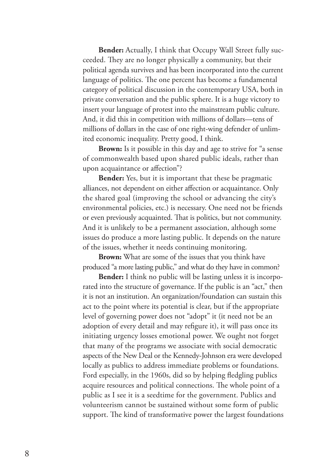**Bender:** Actually, I think that Occupy Wall Street fully succeeded. They are no longer physically a community, but their political agenda survives and has been incorporated into the current language of politics. The one percent has become a fundamental category of political discussion in the contemporary USA, both in private conversation and the public sphere. It is a huge victory to insert your language of protest into the mainstream public culture. And, it did this in competition with millions of dollars—tens of millions of dollars in the case of one right-wing defender of unlimited economic inequality. Pretty good, I think.

**Brown:** Is it possible in this day and age to strive for "a sense of commonwealth based upon shared public ideals, rather than upon acquaintance or affection"?

**Bender:** Yes, but it is important that these be pragmatic alliances, not dependent on either affection or acquaintance. Only the shared goal (improving the school or advancing the city's environmental policies, etc.) is necessary. One need not be friends or even previously acquainted. That is politics, but not community. And it is unlikely to be a permanent association, although some issues do produce a more lasting public. It depends on the nature of the issues, whether it needs continuing monitoring.

**Brown:** What are some of the issues that you think have produced "a more lasting public," and what do they have in common?

**Bender:** I think no public will be lasting unless it is incorporated into the structure of governance. If the public is an "act," then it is not an institution. An organization/foundation can sustain this act to the point where its potential is clear, but if the appropriate level of governing power does not "adopt" it (it need not be an adoption of every detail and may refigure it), it will pass once its initiating urgency losses emotional power. We ought not forget that many of the programs we associate with social democratic aspects of the New Deal or the Kennedy-Johnson era were developed locally as publics to address immediate problems or foundations. Ford especially, in the 1960s, did so by helping fledgling publics acquire resources and political connections. The whole point of a public as I see it is a seedtime for the government. Publics and volunteerism cannot be sustained without some form of public support. The kind of transformative power the largest foundations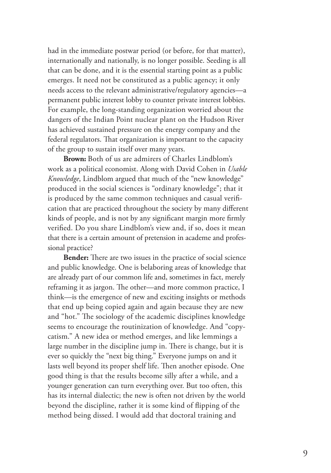had in the immediate postwar period (or before, for that matter), internationally and nationally, is no longer possible. Seeding is all that can be done, and it is the essential starting point as a public emerges. It need not be constituted as a public agency; it only needs access to the relevant administrative/regulatory agencies—a permanent public interest lobby to counter private interest lobbies. For example, the long-standing organization worried about the dangers of the Indian Point nuclear plant on the Hudson River has achieved sustained pressure on the energy company and the federal regulators. That organization is important to the capacity of the group to sustain itself over many years.

**Brown:** Both of us are admirers of Charles Lindblom's work as a political economist. Along with David Cohen in *Usable Knowledge*, Lindblom argued that much of the "new knowledge" produced in the social sciences is "ordinary knowledge"; that it is produced by the same common techniques and casual verification that are practiced throughout the society by many different kinds of people, and is not by any significant margin more firmly verified. Do you share Lindblom's view and, if so, does it mean that there is a certain amount of pretension in academe and professional practice?

**Bender:** There are two issues in the practice of social science and public knowledge. One is belaboring areas of knowledge that are already part of our common life and, sometimes in fact, merely reframing it as jargon. The other—and more common practice, I think—is the emergence of new and exciting insights or methods that end up being copied again and again because they are new and "hot." The sociology of the academic disciplines knowledge seems to encourage the routinization of knowledge. And "copycatism." A new idea or method emerges, and like lemmings a large number in the discipline jump in. There is change, but it is ever so quickly the "next big thing." Everyone jumps on and it lasts well beyond its proper shelf life. Then another episode. One good thing is that the results become silly after a while, and a younger generation can turn everything over. But too often, this has its internal dialectic; the new is often not driven by the world beyond the discipline, rather it is some kind of flipping of the method being dissed. I would add that doctoral training and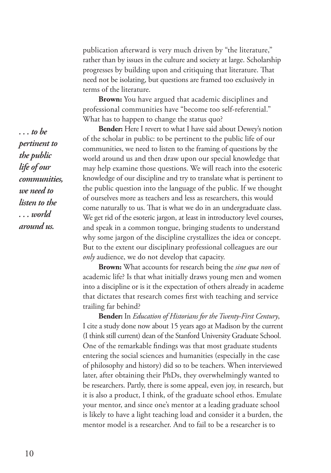publication afterward is very much driven by "the literature," rather than by issues in the culture and society at large. Scholarship progresses by building upon and critiquing that literature. That need not be isolating, but questions are framed too exclusively in terms of the literature.

**Brown:** You have argued that academic disciplines and professional communities have "become too self-referential." What has to happen to change the status quo?

**Bender:** Here I revert to what I have said about Dewey's notion of the scholar in public: to be pertinent to the public life of our communities, we need to listen to the framing of questions by the world around us and then draw upon our special knowledge that may help examine those questions. We will reach into the esoteric knowledge of our discipline and try to translate what is pertinent to the public question into the language of the public. If we thought of ourselves more as teachers and less as researchers, this would come naturally to us. That is what we do in an undergraduate class. We get rid of the esoteric jargon, at least in introductory level courses, and speak in a common tongue, bringing students to understand why some jargon of the discipline crystallizes the idea or concept. But to the extent our disciplinary professional colleagues are our *only* audience, we do not develop that capacity.

**Brown:** What accounts for research being the *sine qua non* of academic life? Is that what initially draws young men and women into a discipline or is it the expectation of others already in academe that dictates that research comes first with teaching and service trailing far behind?

**Bender:** In *Education of Historians for the Twenty-First Century*, I cite a study done now about 15 years ago at Madison by the current (I think still current) dean of the Stanford University Graduate School. One of the remarkable findings was that most graduate students entering the social sciences and humanities (especially in the case of philosophy and history) did so to be teachers. When interviewed later, after obtaining their PhDs, they overwhelmingly wanted to be researchers. Partly, there is some appeal, even joy, in research, but it is also a product, I think, of the graduate school ethos. Emulate your mentor, and since one's mentor at a leading graduate school is likely to have a light teaching load and consider it a burden, the mentor model is a researcher. And to fail to be a researcher is to

*. . . to be pertinent to the public life of our communities, we need to listen to the . . . world around us.*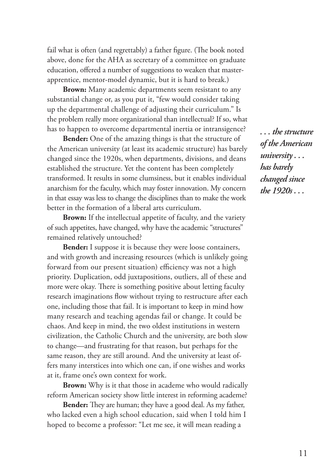fail what is often (and regrettably) a father figure. (The book noted above, done for the AHA as secretary of a committee on graduate education, offered a number of suggestions to weaken that masterapprentice, mentor-model dynamic, but it is hard to break.)

**Brown:** Many academic departments seem resistant to any substantial change or, as you put it, "few would consider taking up the departmental challenge of adjusting their curriculum." Is the problem really more organizational than intellectual? If so, what has to happen to overcome departmental inertia or intransigence?

**Bender:** One of the amazing things is that the structure of the American university (at least its academic structure) has barely changed since the 1920s, when departments, divisions, and deans established the structure. Yet the content has been completely transformed. It results in some clumsiness, but it enables individual anarchism for the faculty, which may foster innovation. My concern in that essay was less to change the disciplines than to make the work better in the formation of a liberal arts curriculum.

**Brown:** If the intellectual appetite of faculty, and the variety of such appetites, have changed, why have the academic "structures" remained relatively untouched?

**Bender:** I suppose it is because they were loose containers, and with growth and increasing resources (which is unlikely going forward from our present situation) efficiency was not a high priority. Duplication, odd juxtapositions, outliers, all of these and more were okay. There is something positive about letting faculty research imaginations flow without trying to restructure after each one, including those that fail. It is important to keep in mind how many research and teaching agendas fail or change. It could be chaos. And keep in mind, the two oldest institutions in western civilization, the Catholic Church and the university, are both slow to change—and frustrating for that reason, but perhaps for the same reason, they are still around. And the university at least offers many interstices into which one can, if one wishes and works at it, frame one's own context for work.

**Brown:** Why is it that those in academe who would radically reform American society show little interest in reforming academe?

**Bender:** They are human; they have a good deal. As my father, who lacked even a high school education, said when I told him I hoped to become a professor: "Let me see, it will mean reading a

*. . . the structure of the American university . . . has barely changed since the 1920s . . .*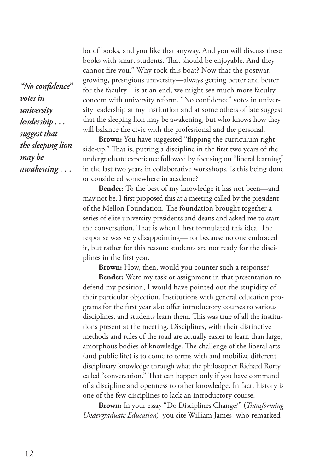*"No confidence" votes in university leadership . . . suggest that the sleeping lion may be awakening . . .*

lot of books, and you like that anyway. And you will discuss these books with smart students. That should be enjoyable. And they cannot fire you." Why rock this boat? Now that the postwar, growing, prestigious university—always getting better and better for the faculty—is at an end, we might see much more faculty concern with university reform. "No confidence" votes in university leadership at my institution and at some others of late suggest that the sleeping lion may be awakening, but who knows how they will balance the civic with the professional and the personal.

**Brown:** You have suggested "flipping the curriculum rightside-up." That is, putting a discipline in the first two years of the undergraduate experience followed by focusing on "liberal learning" in the last two years in collaborative workshops. Is this being done or considered somewhere in academe?

**Bender:** To the best of my knowledge it has not been—and may not be. I first proposed this at a meeting called by the president of the Mellon Foundation. The foundation brought together a series of elite university presidents and deans and asked me to start the conversation. That is when I first formulated this idea. The response was very disappointing—not because no one embraced it, but rather for this reason: students are not ready for the disciplines in the first year.

**Brown:** How, then, would you counter such a response?

**Bender:** Were my task or assignment in that presentation to defend my position, I would have pointed out the stupidity of their particular objection. Institutions with general education programs for the first year also offer introductory courses to various disciplines, and students learn them. This was true of all the institutions present at the meeting. Disciplines, with their distinctive methods and rules of the road are actually easier to learn than large, amorphous bodies of knowledge. The challenge of the liberal arts (and public life) is to come to terms with and mobilize different disciplinary knowledge through what the philosopher Richard Rorty called "conversation." That can happen only if you have command of a discipline and openness to other knowledge. In fact, history is one of the few disciplines to lack an introductory course.

**Brown:** In your essay "Do Disciplines Change?" (*Transforming Undergraduate Education*), you cite William James, who remarked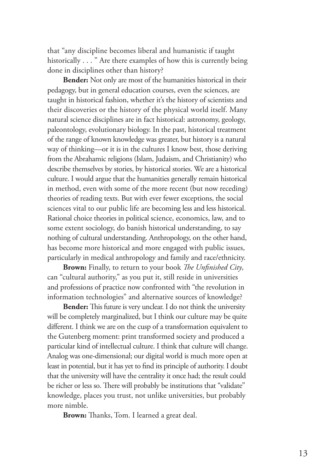that "any discipline becomes liberal and humanistic if taught historically . . . " Are there examples of how this is currently being done in disciplines other than history?

**Bender:** Not only are most of the humanities historical in their pedagogy, but in general education courses, even the sciences, are taught in historical fashion, whether it's the history of scientists and their discoveries or the history of the physical world itself. Many natural science disciplines are in fact historical: astronomy, geology, paleontology, evolutionary biology. In the past, historical treatment of the range of known knowledge was greater, but history is a natural way of thinking—or it is in the cultures I know best, those deriving from the Abrahamic religions (Islam, Judaism, and Christianity) who describe themselves by stories, by historical stories. We are a historical culture. I would argue that the humanities generally remain historical in method, even with some of the more recent (but now receding) theories of reading texts. But with ever fewer exceptions, the social sciences vital to our public life are becoming less and less historical. Rational choice theories in political science, economics, law, and to some extent sociology, do banish historical understanding, to say nothing of cultural understanding. Anthropology, on the other hand, has become more historical and more engaged with public issues, particularly in medical anthropology and family and race/ethnicity.

**Brown:** Finally, to return to your book *The Unfinished City*, can "cultural authority," as you put it, still reside in universities and professions of practice now confronted with "the revolution in information technologies" and alternative sources of knowledge?

**Bender:** This future is very unclear. I do not think the university will be completely marginalized, but I think our culture may be quite different. I think we are on the cusp of a transformation equivalent to the Gutenberg moment: print transformed society and produced a particular kind of intellectual culture. I think that culture will change. Analog was one-dimensional; our digital world is much more open at least in potential, but it has yet to find its principle of authority. I doubt that the university will have the centrality it once had; the result could be richer or less so. There will probably be institutions that "validate" knowledge, places you trust, not unlike universities, but probably more nimble.

**Brown:** Thanks, Tom. I learned a great deal.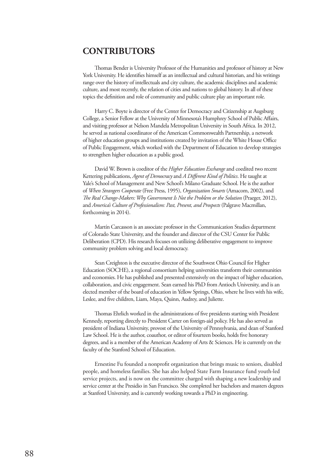### **CONTRIBUTORS**

Thomas Bender is University Professor of the Humanities and professor of history at New York University. He identifies himself as an intellectual and cultural historian, and his writings range over the history of intellectuals and city culture, the academic disciplines and academic culture, and most recently, the relation of cities and nations to global history. In all of these topics the definition and role of community and public culture play an important role.

Harry C. Boyte is director of the Center for Democracy and Citizenship at Augsburg College, a Senior Fellow at the University of Minnesota's Humphrey School of Public Affairs, and visiting professor at Nelson Mandela Metropolitan University in South Africa. In 2012, he served as national coordinator of the American Commonwealth Partnership, a network of higher education groups and institutions created by invitation of the White House Office of Public Engagement, which worked with the Department of Education to develop strategies to strengthen higher education as a public good.

David W. Brown is coeditor of the *Higher Education Exchange* and coedited two recent Kettering publications, *Agent of Democracy* and *A Different Kind of Politics*. He taught at Yale's School of Management and New School's Milano Graduate School. He is the author of *When Strangers Cooperate* (Free Press, 1995), *Organization Smarts* (Amacom, 2002), and *The Real Change-Makers: Why Government Is Not the Problem or the Solution* (Praeger, 2012), and *America's Culture of Professionalism: Past, Present, and Prospects* (Palgrave Macmillan, forthcoming in 2014).

Martín Carcasson is an associate professor in the Communication Studies department of Colorado State University, and the founder and director of the CSU Center for Public Deliberation (CPD). His research focuses on utilizing deliberative engagement to improve community problem solving and local democracy.

Sean Creighton is the executive director of the Southwest Ohio Council for Higher Education (SOCHE), a regional consortium helping universities transform their communities and economies. He has published and presented extensively on the impact of higher education, collaboration, and civic engagement. Sean earned his PhD from Antioch University, and is an elected member of the board of education in Yellow Springs, Ohio, where he lives with his wife, Leslee, and five children, Liam, Maya, Quinn, Audrey, and Juliette.

Thomas Ehrlich worked in the administrations of five presidents starting with President Kennedy, reporting directly to President Carter on foreign-aid policy. He has also served as president of Indiana University, provost of the University of Pennsylvania, and dean of Stanford Law School. He is the author, coauthor, or editor of fourteen books, holds five honorary degrees, and is a member of the American Academy of Arts & Sciences. He is currently on the faculty of the Stanford School of Education.

Ernestine Fu founded a nonprofit organization that brings music to seniors, disabled people, and homeless families. She has also helped State Farm Insurance fund youth-led service projects, and is now on the committee charged with shaping a new leadership and service center at the Presidio in San Francisco. She completed her bachelors and masters degrees at Stanford University, and is currently working towards a PhD in engineering.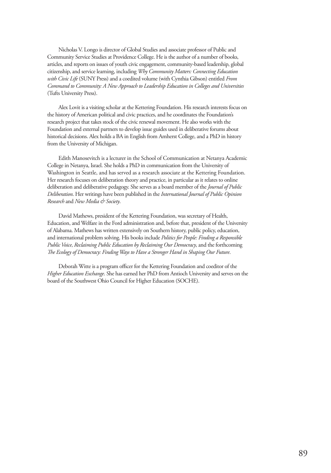Nicholas V. Longo is director of Global Studies and associate professor of Public and Community Service Studies at Providence College. He is the author of a number of books, articles, and reports on issues of youth civic engagement, community-based leadership, global citizenship, and service learning, including *Why Community Matters: Connecting Education with Civic Life* (SUNY Press) and a coedited volume (with Cynthia Gibson) entitled *From Command to Community: A New Approach to Leadership Education in Colleges and Universities* (Tufts University Press).

Alex Lovit is a visiting scholar at the Kettering Foundation. His research interests focus on the history of American political and civic practices, and he coordinates the Foundation's research project that takes stock of the civic renewal movement. He also works with the Foundation and external partners to develop issue guides used in deliberative forums about historical decisions. Alex holds a BA in English from Amherst College, and a PhD in history from the University of Michigan.

Edith Manosevitch is a lecturer in the School of Communication at Netanya Academic College in Netanya, Israel. She holds a PhD in communication from the University of Washington in Seattle, and has served as a research associate at the Kettering Foundation. Her research focuses on deliberation theory and practice, in particular as it relates to online deliberation and deliberative pedagogy. She serves as a board member of the *Journal of Public Deliberation*. Her writings have been published in the *International Journal of Public Opinion Research* and *New Media & Society*.

David Mathews, president of the Kettering Foundation, was secretary of Health, Education, and Welfare in the Ford administration and, before that, president of the University of Alabama. Mathews has written extensively on Southern history, public policy, education, and international problem solving. His books include *Politics for People: Finding a Responsible Public Voice*, *Reclaiming Public Education by Reclaiming Our Democracy*, and the forthcoming *The Ecology of Democracy: Finding Ways to Have a Stronger Hand in Shaping Our Future*.

Deborah Witte is a program officer for the Kettering Foundation and coeditor of the *Higher Education Exchange*. She has earned her PhD from Antioch University and serves on the board of the Southwest Ohio Council for Higher Education (SOCHE).